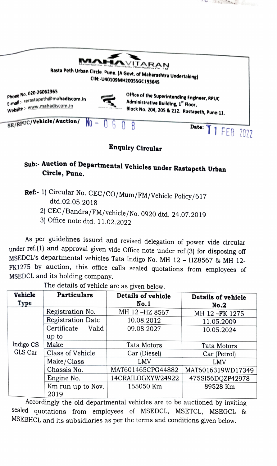

 $22.5$ 

## Sub: Auction of Departmental Vehicles under Rastapeth Urban Circle, Pune.

- Ref: 1) Circular No. CEC/CO/Mum/FM/Vehicle Policy/617<br>dtd.02.05.2018
	- 2) CEC/Bandra/FM/vehicle/No. 0920 dtd. 24.07.2019
	- 3) Office note dtd. 11.02.2022

As per guidelines issued and revised delegation of power vide circular under ref.(1) and approval given vide Office note under ref.(3) for disposing off MSEDCL's departmental vehicles Tata Indigo No. MH 12 - HZ8567 & MH 12-FK1275 by auction, this office calls sealed quotations from employees of MSEDCL and its holding company.

| Vehicle<br>Type      | <b>Particulars</b>        | Details of vehicle<br>No.1 | Details of vehicle<br>No.2 |
|----------------------|---------------------------|----------------------------|----------------------------|
| Indigo CS<br>GLS Car | Registration No.          | MH 12-HZ 8567              | MH 12-FK 1275              |
|                      | Registration Date         | 10.08.2012                 | 11.05.2009                 |
|                      | Certificate<br>Valid      | 09.08.2027                 | 10.05.2024                 |
|                      | up to                     |                            |                            |
|                      | Make                      | Tata Motors                | Tata Motors                |
|                      | Class of Vehicle          | Car (Diesel)               | Car (Petrol)               |
|                      | Make/Class                | LMV                        | LMV                        |
|                      | Chassis No.               | MAT601465CPG44882          | MAT6016319WD17349          |
|                      | Engine No.                | 14CRAILOGXYW24922          | 475SI56DQZP42978           |
|                      | Km run up to Nov.<br>2019 | 155050 Km                  | 89528 Km                   |

The details of vehicle are as given below.

Accordingly the old departmental vehicles are to be auctioned by inviting sealed quotations from employees of MSEDCL, MSETCL, MSEGCL & MSEBHCL and its subsidiaries as per the terms and conditions given below.